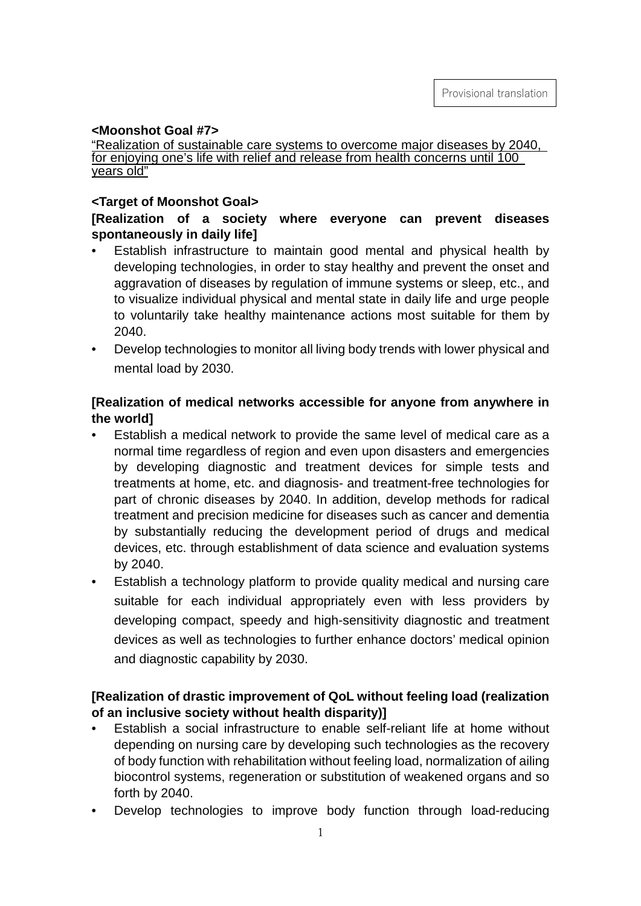## **<Moonshot Goal #7>**

"Realization of sustainable care systems to overcome major diseases by 2040, for enjoying one's life with relief and release from health concerns until 100 years old"

## **<Target of Moonshot Goal>**

# **[Realization of a society where everyone can prevent diseases spontaneously in daily life]**

- Establish infrastructure to maintain good mental and physical health by developing technologies, in order to stay healthy and prevent the onset and aggravation of diseases by regulation of immune systems or sleep, etc., and to visualize individual physical and mental state in daily life and urge people to voluntarily take healthy maintenance actions most suitable for them by 2040.
- Develop technologies to monitor all living body trends with lower physical and mental load by 2030.

# **[Realization of medical networks accessible for anyone from anywhere in the world]**

- Establish a medical network to provide the same level of medical care as a normal time regardless of region and even upon disasters and emergencies by developing diagnostic and treatment devices for simple tests and treatments at home, etc. and diagnosis- and treatment-free technologies for part of chronic diseases by 2040. In addition, develop methods for radical treatment and precision medicine for diseases such as cancer and dementia by substantially reducing the development period of drugs and medical devices, etc. through establishment of data science and evaluation systems by 2040.
- Establish a technology platform to provide quality medical and nursing care suitable for each individual appropriately even with less providers by developing compact, speedy and high-sensitivity diagnostic and treatment devices as well as technologies to further enhance doctors' medical opinion and diagnostic capability by 2030.

## **[Realization of drastic improvement of QoL without feeling load (realization of an inclusive society without health disparity)]**

- Establish a social infrastructure to enable self-reliant life at home without depending on nursing care by developing such technologies as the recovery of body function with rehabilitation without feeling load, normalization of ailing biocontrol systems, regeneration or substitution of weakened organs and so forth by 2040.
- Develop technologies to improve body function through load-reducing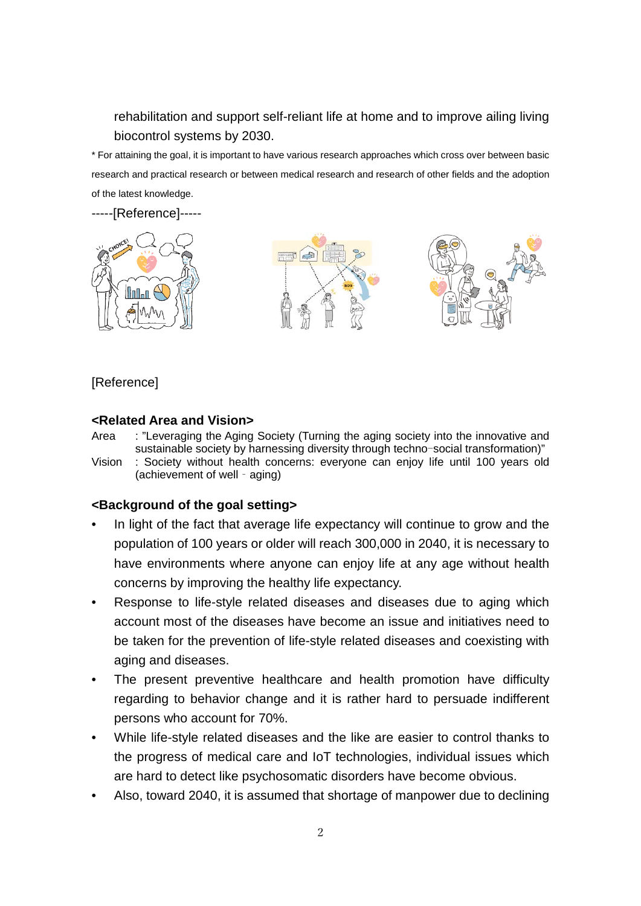rehabilitation and support self-reliant life at home and to improve ailing living biocontrol systems by 2030.

\* For attaining the goal, it is important to have various research approaches which cross over between basic research and practical research or between medical research and research of other fields and the adoption of the latest knowledge.

-----[Reference]-----





# [Reference]

## **<Related Area and Vision>**

Area : "Leveraging the Aging Society (Turning the aging society into the innovative and sustainable society by harnessing diversity through techno-social transformation)"

Vision : Society without health concerns: everyone can enjoy life until 100 years old (achievement of well‐aging)

## **<Background of the goal setting>**

- In light of the fact that average life expectancy will continue to grow and the population of 100 years or older will reach 300,000 in 2040, it is necessary to have environments where anyone can enjoy life at any age without health concerns by improving the healthy life expectancy.
- Response to life-style related diseases and diseases due to aging which account most of the diseases have become an issue and initiatives need to be taken for the prevention of life-style related diseases and coexisting with aging and diseases.
- The present preventive healthcare and health promotion have difficulty regarding to behavior change and it is rather hard to persuade indifferent persons who account for 70%.
- While life-style related diseases and the like are easier to control thanks to the progress of medical care and IoT technologies, individual issues which are hard to detect like psychosomatic disorders have become obvious.
- Also, toward 2040, it is assumed that shortage of manpower due to declining